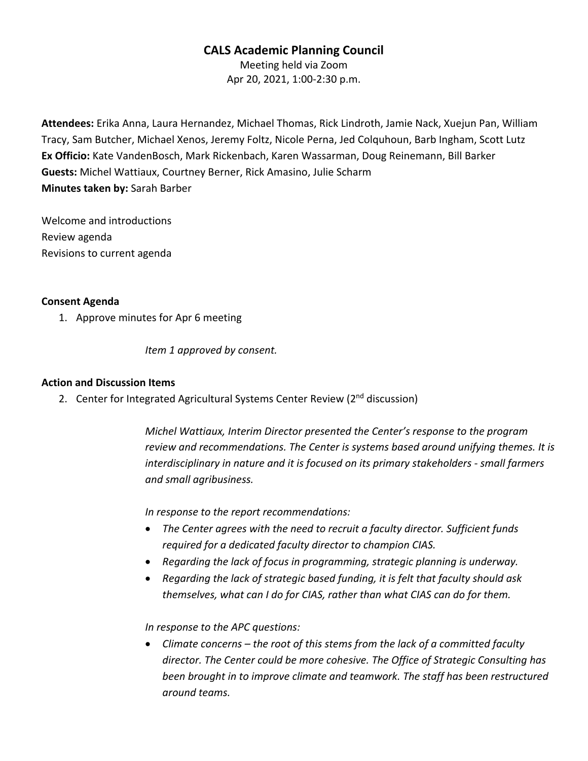# **CALS Academic Planning Council**

Meeting held via Zoom Apr 20, 2021, 1:00-2:30 p.m.

**Attendees:** Erika Anna, Laura Hernandez, Michael Thomas, Rick Lindroth, Jamie Nack, Xuejun Pan, William Tracy, Sam Butcher, Michael Xenos, Jeremy Foltz, Nicole Perna, Jed Colquhoun, Barb Ingham, Scott Lutz **Ex Officio:** Kate VandenBosch, Mark Rickenbach, Karen Wassarman, Doug Reinemann, Bill Barker **Guests:** Michel Wattiaux, Courtney Berner, Rick Amasino, Julie Scharm **Minutes taken by:** Sarah Barber

Welcome and introductions Review agenda Revisions to current agenda

### **Consent Agenda**

1. Approve minutes for Apr 6 meeting

*Item 1 approved by consent.*

#### **Action and Discussion Items**

2. Center for Integrated Agricultural Systems Center Review ( $2<sup>nd</sup>$  discussion)

*Michel Wattiaux, Interim Director presented the Center's response to the program review and recommendations. The Center is systems based around unifying themes. It is interdisciplinary in nature and it is focused on its primary stakeholders - small farmers and small agribusiness.*

*In response to the report recommendations:* 

- *The Center agrees with the need to recruit a faculty director. Sufficient funds required for a dedicated faculty director to champion CIAS.*
- *Regarding the lack of focus in programming, strategic planning is underway.*
- *Regarding the lack of strategic based funding, it is felt that faculty should ask themselves, what can I do for CIAS, rather than what CIAS can do for them.*

*In response to the APC questions:*

• *Climate concerns – the root of this stems from the lack of a committed faculty director. The Center could be more cohesive. The Office of Strategic Consulting has*  been brought in to improve climate and teamwork. The staff has been restructured *around teams.*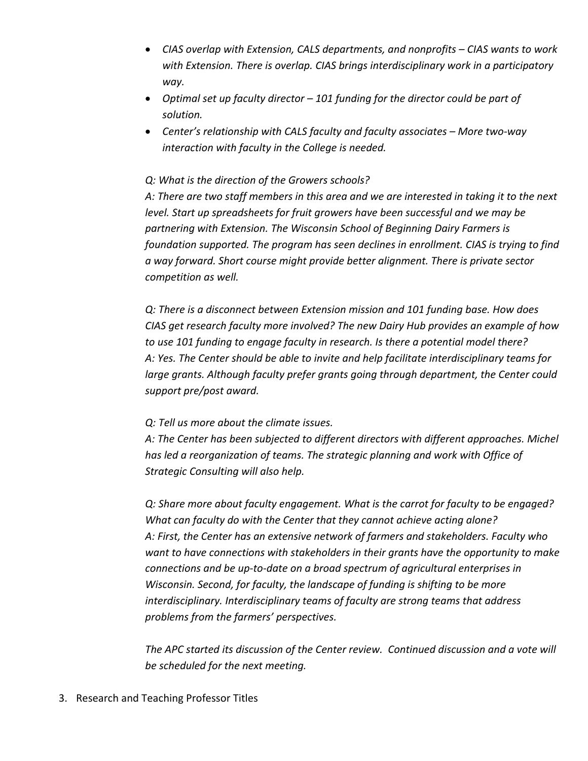- *CIAS overlap with Extension, CALS departments, and nonprofits – CIAS wants to work with Extension. There is overlap. CIAS brings interdisciplinary work in a participatory way.*
- *Optimal set up faculty director – 101 funding for the director could be part of solution.*
- *Center's relationship with CALS faculty and faculty associates – More two-way interaction with faculty in the College is needed.*

## *Q: What is the direction of the Growers schools?*

*A: There are two staff members in this area and we are interested in taking it to the next level. Start up spreadsheets for fruit growers have been successful and we may be partnering with Extension. The Wisconsin School of Beginning Dairy Farmers is foundation supported. The program has seen declines in enrollment. CIAS is trying to find a way forward. Short course might provide better alignment. There is private sector competition as well.* 

*Q: There is a disconnect between Extension mission and 101 funding base. How does CIAS get research faculty more involved? The new Dairy Hub provides an example of how to use 101 funding to engage faculty in research. Is there a potential model there? A: Yes. The Center should be able to invite and help facilitate interdisciplinary teams for large grants. Although faculty prefer grants going through department, the Center could support pre/post award.*

## *Q: Tell us more about the climate issues.*

*A: The Center has been subjected to different directors with different approaches. Michel has led a reorganization of teams. The strategic planning and work with Office of Strategic Consulting will also help.*

*Q: Share more about faculty engagement. What is the carrot for faculty to be engaged? What can faculty do with the Center that they cannot achieve acting alone? A: First, the Center has an extensive network of farmers and stakeholders. Faculty who want to have connections with stakeholders in their grants have the opportunity to make connections and be up-to-date on a broad spectrum of agricultural enterprises in Wisconsin. Second, for faculty, the landscape of funding is shifting to be more interdisciplinary. Interdisciplinary teams of faculty are strong teams that address problems from the farmers' perspectives.* 

*The APC started its discussion of the Center review. Continued discussion and a vote will be scheduled for the next meeting.*

3. Research and Teaching Professor Titles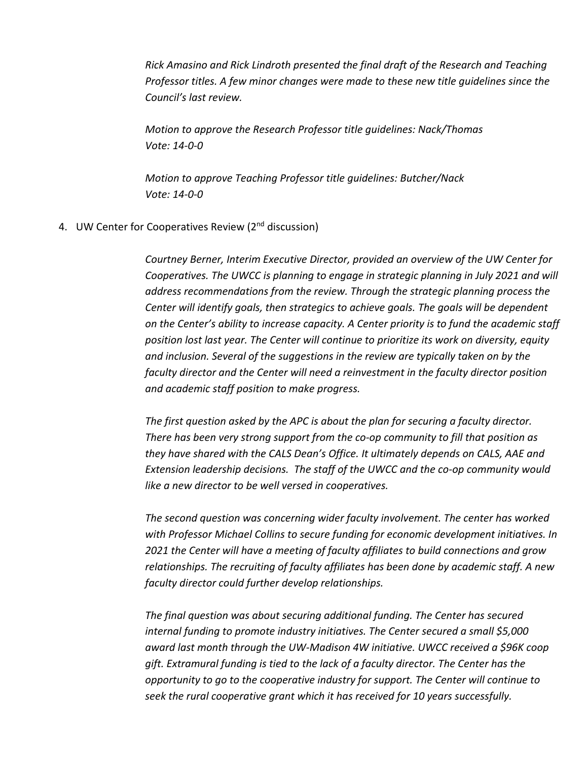*Rick Amasino and Rick Lindroth presented the final draft of the Research and Teaching Professor titles. A few minor changes were made to these new title guidelines since the Council's last review.* 

*Motion to approve the Research Professor title guidelines: Nack/Thomas Vote: 14-0-0*

*Motion to approve Teaching Professor title guidelines: Butcher/Nack Vote: 14-0-0*

4. UW Center for Cooperatives Review (2<sup>nd</sup> discussion)

*Courtney Berner, Interim Executive Director, provided an overview of the UW Center for Cooperatives. The UWCC is planning to engage in strategic planning in July 2021 and will address recommendations from the review. Through the strategic planning process the Center will identify goals, then strategics to achieve goals. The goals will be dependent on the Center's ability to increase capacity. A Center priority is to fund the academic staff position lost last year. The Center will continue to prioritize its work on diversity, equity and inclusion. Several of the suggestions in the review are typically taken on by the faculty director and the Center will need a reinvestment in the faculty director position and academic staff position to make progress.* 

*The first question asked by the APC is about the plan for securing a faculty director. There has been very strong support from the co-op community to fill that position as they have shared with the CALS Dean's Office. It ultimately depends on CALS, AAE and Extension leadership decisions. The staff of the UWCC and the co-op community would like a new director to be well versed in cooperatives.* 

*The second question was concerning wider faculty involvement. The center has worked with Professor Michael Collins to secure funding for economic development initiatives. In 2021 the Center will have a meeting of faculty affiliates to build connections and grow relationships. The recruiting of faculty affiliates has been done by academic staff. A new faculty director could further develop relationships.*

*The final question was about securing additional funding. The Center has secured internal funding to promote industry initiatives. The Center secured a small \$5,000 award last month through the UW-Madison 4W initiative. UWCC received a \$96K coop gift. Extramural funding is tied to the lack of a faculty director. The Center has the opportunity to go to the cooperative industry for support. The Center will continue to seek the rural cooperative grant which it has received for 10 years successfully.*